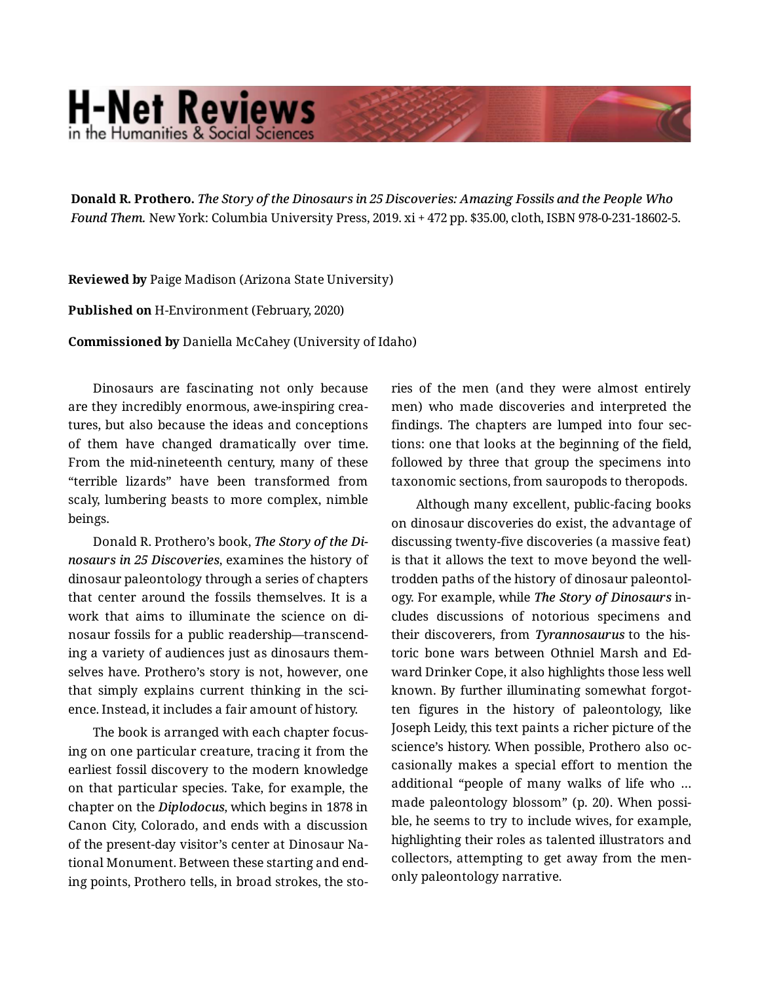## **H-Net Reviews** in the Humanities & Social Scien

**Donald R. Prothero.** *The Story of the Dinosaurs in 25 Discoveries: Amazing Fossils and the People Who Found Them.* New York: Columbia University Press, 2019. xi + 472 pp. \$35.00, cloth, ISBN 978-0-231-18602-5.

**Reviewed by** Paige Madison (Arizona State University)

**Published on** H-Environment (February, 2020)

**Commissioned by** Daniella McCahey (University of Idaho)

Dinosaurs are fascinating not only because are they incredibly enormous, awe-inspiring crea‐ tures, but also because the ideas and conceptions of them have changed dramatically over time. From the mid-nineteenth century, many of these "terrible lizards" have been transformed from scaly, lumbering beasts to more complex, nimble beings.

Donald R. Prothero's book, *The Story of the Di‐ nosaurs in 25 Discoveries*, examines the history of dinosaur paleontology through a series of chapters that center around the fossils themselves. It is a work that aims to illuminate the science on di‐ nosaur fossils for a public readership—transcend‐ ing a variety of audiences just as dinosaurs them‐ selves have. Prothero's story is not, however, one that simply explains current thinking in the science. Instead, it includes a fair amount of history.

The book is arranged with each chapter focus‐ ing on one particular creature, tracing it from the earliest fossil discovery to the modern knowledge on that particular species. Take, for example, the chapter on the *Diplodocus*, which begins in 1878 in Canon City, Colorado, and ends with a discussion of the present-day visitor's center at Dinosaur Na‐ tional Monument. Between these starting and end‐ ing points, Prothero tells, in broad strokes, the sto‐ ries of the men (and they were almost entirely men) who made discoveries and interpreted the findings. The chapters are lumped into four sec‐ tions: one that looks at the beginning of the field, followed by three that group the specimens into taxonomic sections, from sauropods to theropods.

Although many excellent, public-facing books on dinosaur discoveries do exist, the advantage of discussing twenty-five discoveries (a massive feat) is that it allows the text to move beyond the welltrodden paths of the history of dinosaur paleontol‐ ogy. For example, while *The Story of Dinosaurs* in‐ cludes discussions of notorious specimens and their discoverers, from *Tyrannosaurus* to the his‐ toric bone wars between Othniel Marsh and Ed‐ ward Drinker Cope, it also highlights those less well known. By further illuminating somewhat forgot‐ ten figures in the history of paleontology, like Joseph Leidy, this text paints a richer picture of the science's history. When possible, Prothero also oc‐ casionally makes a special effort to mention the additional "people of many walks of life who … made paleontology blossom" (p. 20). When possi‐ ble, he seems to try to include wives, for example, highlighting their roles as talented illustrators and collectors, attempting to get away from the menonly paleontology narrative.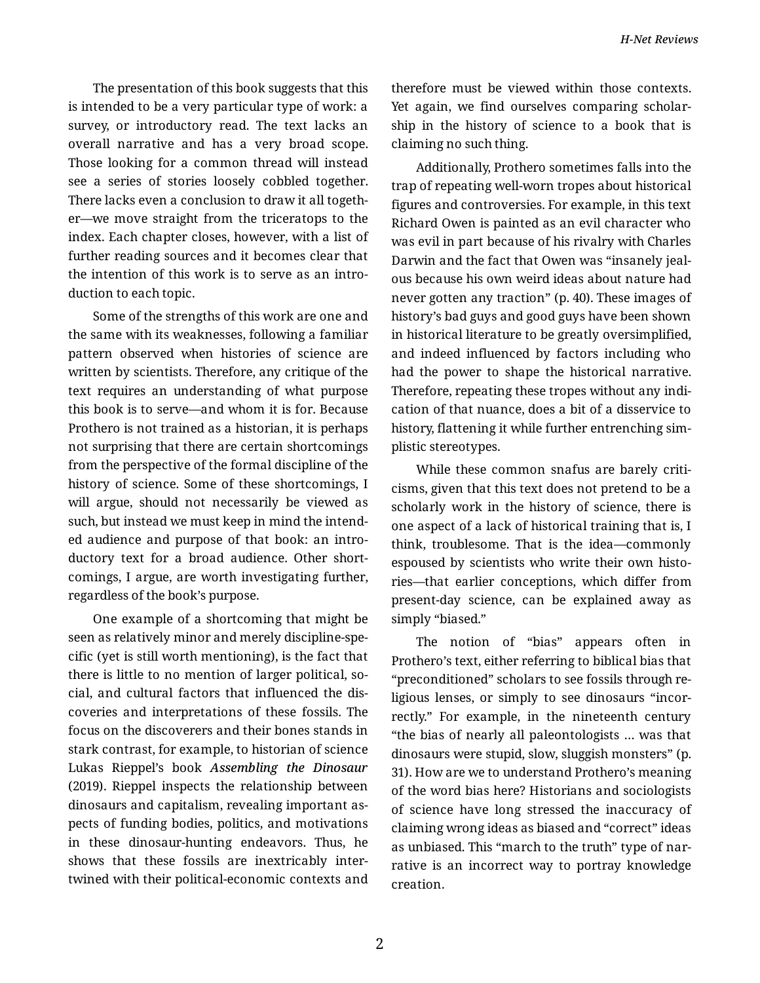The presentation of this book suggests that this is intended to be a very particular type of work: a survey, or introductory read. The text lacks an overall narrative and has a very broad scope. Those looking for a common thread will instead see a series of stories loosely cobbled together. There lacks even a conclusion to draw it all togeth‐ er—we move straight from the triceratops to the index. Each chapter closes, however, with a list of further reading sources and it becomes clear that the intention of this work is to serve as an intro‐ duction to each topic.

Some of the strengths of this work are one and the same with its weaknesses, following a familiar pattern observed when histories of science are written by scientists. Therefore, any critique of the text requires an understanding of what purpose this book is to serve—and whom it is for. Because Prothero is not trained as a historian, it is perhaps not surprising that there are certain shortcomings from the perspective of the formal discipline of the history of science. Some of these shortcomings, I will argue, should not necessarily be viewed as such, but instead we must keep in mind the intend‐ ed audience and purpose of that book: an intro‐ ductory text for a broad audience. Other short‐ comings, I argue, are worth investigating further, regardless of the book's purpose.

One example of a shortcoming that might be seen as relatively minor and merely discipline-spe‐ cific (yet is still worth mentioning), is the fact that there is little to no mention of larger political, so‐ cial, and cultural factors that influenced the dis‐ coveries and interpretations of these fossils. The focus on the discoverers and their bones stands in stark contrast, for example, to historian of science Lukas Rieppel's book *Assembling the Dinosaur* (2019). Rieppel inspects the relationship between dinosaurs and capitalism, revealing important as‐ pects of funding bodies, politics, and motivations in these dinosaur-hunting endeavors. Thus, he shows that these fossils are inextricably inter‐ twined with their political-economic contexts and

therefore must be viewed within those contexts. Yet again, we find ourselves comparing scholar‐ ship in the history of science to a book that is claiming no such thing.

Additionally, Prothero sometimes falls into the trap of repeating well-worn tropes about historical figures and controversies. For example, in this text Richard Owen is painted as an evil character who was evil in part because of his rivalry with Charles Darwin and the fact that Owen was "insanely jeal‐ ous because his own weird ideas about nature had never gotten any traction" (p. 40). These images of history's bad guys and good guys have been shown in historical literature to be greatly oversimplified, and indeed influenced by factors including who had the power to shape the historical narrative. Therefore, repeating these tropes without any indi‐ cation of that nuance, does a bit of a disservice to history, flattening it while further entrenching sim‐ plistic stereotypes.

While these common snafus are barely criticisms, given that this text does not pretend to be a scholarly work in the history of science, there is one aspect of a lack of historical training that is, I think, troublesome. That is the idea—commonly espoused by scientists who write their own histo‐ ries—that earlier conceptions, which differ from present-day science, can be explained away as simply "biased."

The notion of "bias" appears often in Prothero's text, either referring to biblical bias that "preconditioned" scholars to see fossils through re‐ ligious lenses, or simply to see dinosaurs "incor‐ rectly." For example, in the nineteenth century "the bias of nearly all paleontologists … was that dinosaurs were stupid, slow, sluggish monsters" (p. 31). How are we to understand Prothero's meaning of the word bias here? Historians and sociologists of science have long stressed the inaccuracy of claiming wrong ideas as biased and "correct" ideas as unbiased. This "march to the truth" type of nar‐ rative is an incorrect way to portray knowledge creation.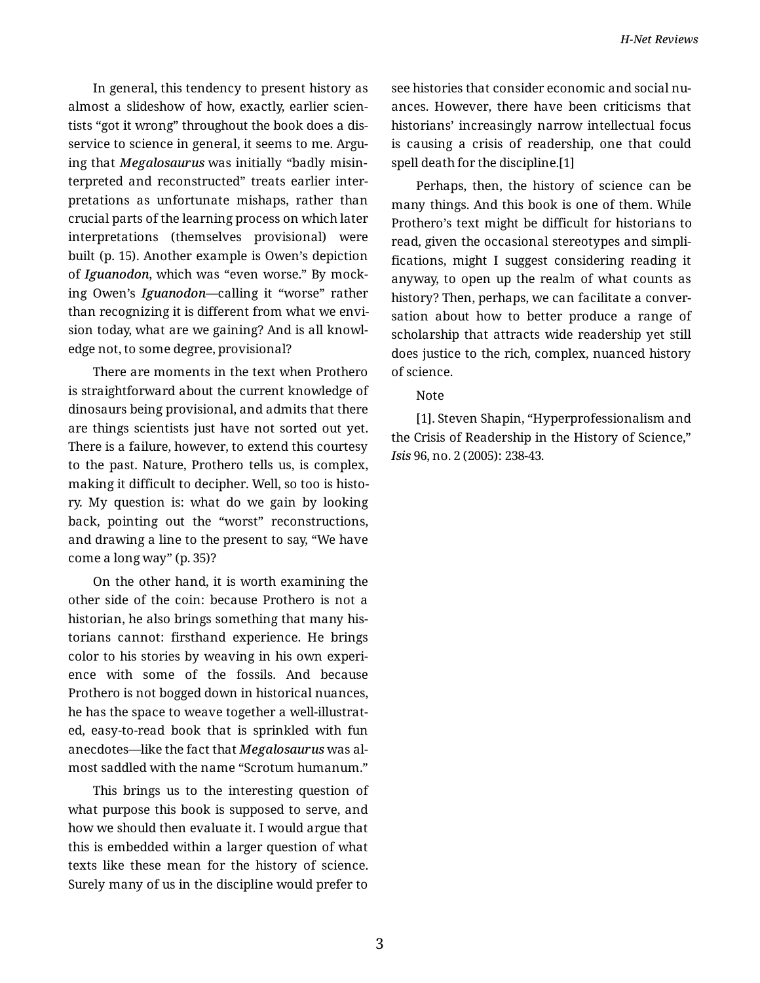In general, this tendency to present history as almost a slideshow of how, exactly, earlier scien‐ tists "got it wrong" throughout the book does a dis‐ service to science in general, it seems to me. Arguing that *Megalosaurus* was initially "badly misin‐ terpreted and reconstructed" treats earlier inter‐ pretations as unfortunate mishaps, rather than crucial parts of the learning process on which later interpretations (themselves provisional) were built (p. 15). Another example is Owen's depiction of *Iguanodon*, which was "even worse." By mock‐ ing Owen's *Iguanodon*—calling it "worse" rather than recognizing it is different from what we envi‐ sion today, what are we gaining? And is all knowl‐ edge not, to some degree, provisional?

There are moments in the text when Prothero is straightforward about the current knowledge of dinosaurs being provisional, and admits that there are things scientists just have not sorted out yet. There is a failure, however, to extend this courtesy to the past. Nature, Prothero tells us, is complex, making it difficult to decipher. Well, so too is histo‐ ry. My question is: what do we gain by looking back, pointing out the "worst" reconstructions, and drawing a line to the present to say, "We have come a long way" (p. 35)?

On the other hand, it is worth examining the other side of the coin: because Prothero is not a historian, he also brings something that many his‐ torians cannot: firsthand experience. He brings color to his stories by weaving in his own experi‐ ence with some of the fossils. And because Prothero is not bogged down in historical nuances, he has the space to weave together a well-illustrat‐ ed, easy-to-read book that is sprinkled with fun anecdotes—like the fact that *Megalosaurus* was al‐ most saddled with the name "Scrotum humanum."

This brings us to the interesting question of what purpose this book is supposed to serve, and how we should then evaluate it. I would argue that this is embedded within a larger question of what texts like these mean for the history of science. Surely many of us in the discipline would prefer to see histories that consider economic and social nu‐ ances. However, there have been criticisms that historians' increasingly narrow intellectual focus is causing a crisis of readership, one that could spell death for the discipline.[1]

Perhaps, then, the history of science can be many things. And this book is one of them. While Prothero's text might be difficult for historians to read, given the occasional stereotypes and simpli‐ fications, might I suggest considering reading it anyway, to open up the realm of what counts as history? Then, perhaps, we can facilitate a conver‐ sation about how to better produce a range of scholarship that attracts wide readership yet still does justice to the rich, complex, nuanced history of science.

## Note

[1]. Steven Shapin, "Hyperprofessionalism and the Crisis of Readership in the History of Science," *Isis* 96, no. 2 (2005): 238-43.